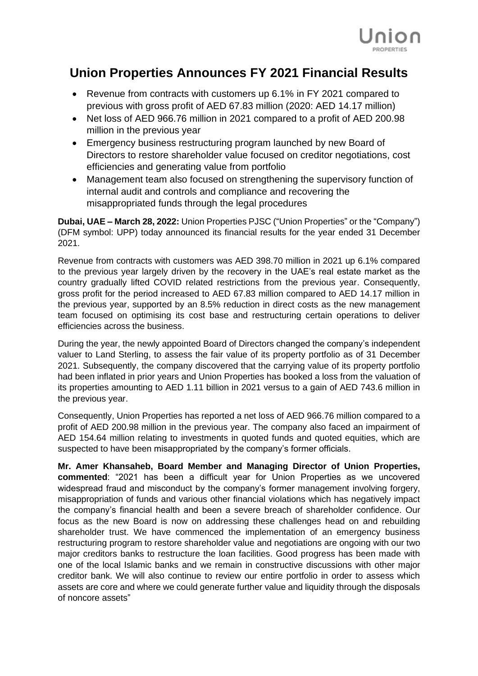

## **Union Properties Announces FY 2021 Financial Results**

- Revenue from contracts with customers up 6.1% in FY 2021 compared to previous with gross profit of AED 67.83 million (2020: AED 14.17 million)
- Net loss of AED 966.76 million in 2021 compared to a profit of AED 200.98 million in the previous year
- Emergency business restructuring program launched by new Board of Directors to restore shareholder value focused on creditor negotiations, cost efficiencies and generating value from portfolio
- Management team also focused on strengthening the supervisory function of internal audit and controls and compliance and recovering the misappropriated funds through the legal procedures

**Dubai, UAE – March 28, 2022:** Union Properties PJSC ("Union Properties" or the "Company") (DFM symbol: UPP) today announced its financial results for the year ended 31 December 2021.

Revenue from contracts with customers was AED 398.70 million in 2021 up 6.1% compared to the previous year largely driven by the recovery in the UAE's real estate market as the country gradually lifted COVID related restrictions from the previous year. Consequently, gross profit for the period increased to AED 67.83 million compared to AED 14.17 million in the previous year, supported by an 8.5% reduction in direct costs as the new management team focused on optimising its cost base and restructuring certain operations to deliver efficiencies across the business.

During the year, the newly appointed Board of Directors changed the company's independent valuer to Land Sterling, to assess the fair value of its property portfolio as of 31 December 2021. Subsequently, the company discovered that the carrying value of its property portfolio had been inflated in prior years and Union Properties has booked a loss from the valuation of its properties amounting to AED 1.11 billion in 2021 versus to a gain of AED 743.6 million in the previous year.

Consequently, Union Properties has reported a net loss of AED 966.76 million compared to a profit of AED 200.98 million in the previous year. The company also faced an impairment of AED 154.64 million relating to investments in quoted funds and quoted equities, which are suspected to have been misappropriated by the company's former officials.

**Mr. Amer Khansaheb, Board Member and Managing Director of Union Properties, commented**: "2021 has been a difficult year for Union Properties as we uncovered widespread fraud and misconduct by the company's former management involving forgery, misappropriation of funds and various other financial violations which has negatively impact the company's financial health and been a severe breach of shareholder confidence. Our focus as the new Board is now on addressing these challenges head on and rebuilding shareholder trust. We have commenced the implementation of an emergency business restructuring program to restore shareholder value and negotiations are ongoing with our two major creditors banks to restructure the loan facilities. Good progress has been made with one of the local Islamic banks and we remain in constructive discussions with other major creditor bank. We will also continue to review our entire portfolio in order to assess which assets are core and where we could generate further value and liquidity through the disposals of noncore assets"